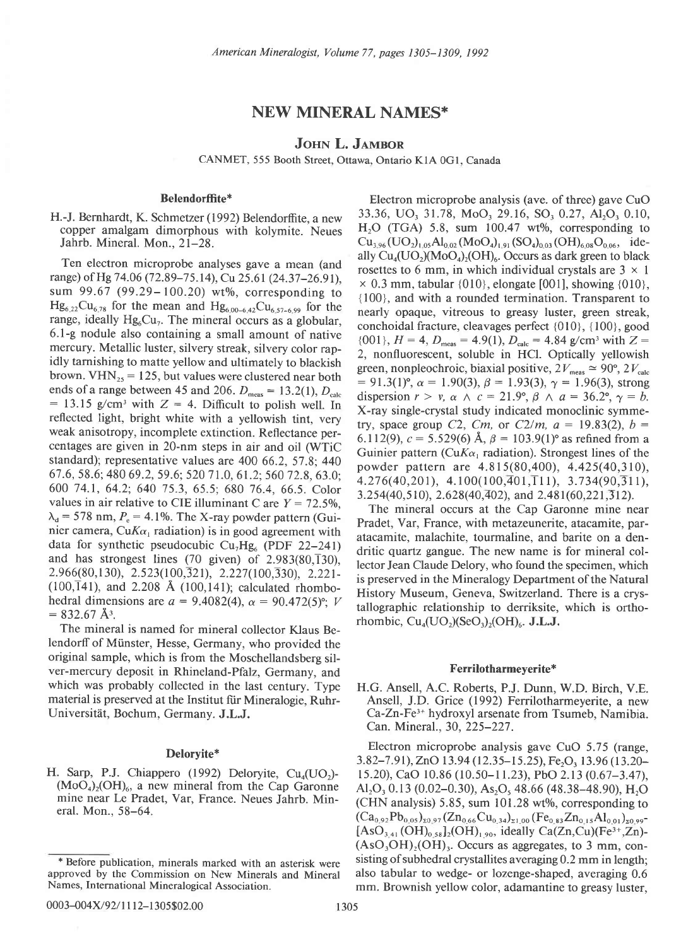# NEW MINERAL NAMES\*

# JOHN L. JAMBOR

CANMET, 555 Booth Street, Ottawa, Ontario KIA 0Gl, Canada

# Belendorffite\*

H.-J. Bernhardt, K. Schmetzer (1992) Belendorffite, a new copper amalgam dimorphous with kolymite. Neues Jahrb. Mineral. Mon., 2l-28.

Ten electron microprobe analyses gave a mean (and range) of Hg 74.06 (72.89–75.14), Cu 25.61 (24.37–26.91), sum 99.67 (99.29–100.20) wt%, corresponding to  $Hg_{6,22}Cu_{6,78}$  for the mean and  $Hg_{6,00-6,42}Cu_{6,57-6,99}$  for the range, ideally  $Hg_6Cu_7$ . The mineral occurs as a globular, 6.1-g nodule also containing a small amount of native mercury. Metallic luster, silvery streak, silvery color rapidly tarnishing to matte yellow and ultimately to blackish brown.  $VHN_{25} = 125$ , but values were clustered near both ends of a range between 45 and 206.  $D_{\text{meas}} = 13.2(1), D_{\text{calc}}$  $= 13.15$  g/cm<sup>3</sup> with  $Z = 4$ . Difficult to polish well. In reflected light, bright white with a yellowish tint, very weak anisotropy, incomplete extinction. Reflectance percentages are given in 20-nm steps in air and oil (WTiC standard); representative values are 400 66.2, 57.8; 440 67 .6, 58.6; 480 69 .2, 59.6; 520 7 1.0, 61.2; 560 12.8, 63.0: 600 74.1, 64.2; 640 75.3, 65.5; 680 76.4,66.5. Color values in air relative to CIE illuminant C are  $Y = 72.5\%$ .  $\lambda_d$  = 578 nm,  $P_e$  = 4.1%. The X-ray powder pattern (Guinier camera, Cu $K\alpha_1$  radiation) is in good agreement with data for synthetic pseudocubic  $Cu<sub>7</sub>Hg<sub>6</sub>$  (PDF 22-241) and has strongest lines (70 given) of  $2.983(80,\overline{1}30)$ ,  $2.966(80, 130), 2.523(100, 321), 2.227(100, 330), 2.221$  $(100,\overline{1}41)$ , and 2.208 Å  $(100,141)$ ; calculated rhombohedral dimensions are  $a = 9.4082(4)$ ,  $\alpha = 90.472(5)$ °; V  $= 832.67 \text{ Å}^3$ .

The mineral is named for mineral collector Klaus Belendorff of Miinster, Hesse, Germany, who provided the original sample, which is from the Moschellandsberg silver-mercury deposit in Rhineland-Pfalz, Germany, and which was probably collected in the last century. Type material is preserved at the Institut fiir Mineralogie, Ruhr-Universitiit, Bochum, Germany. J.L.J.

Electron microprobe analysis (ave. of three) gave CuO 33.36, UO, 31.78, MoO, 29.16, SO, 0.27, Al,O, 0.10,  $H<sub>2</sub>O$  (TGA) 5.8, sum 100.47 wt%, corresponding to  $Cu_{3.96}(UO_{2})_{1.05}Al_{0.02}(MoO_{4})_{1.91}(SO_{4})_{0.03}(OH)_{6.08}O_{0.06}$ , ideally  $Cu_{4}(UO_{2})(MO_{4})_{2}(OH)_{6}$ . Occurs as dark green to black rosettes to 6 mm, in which individual crystals are  $3 \times 1$  $\times$  0.3 mm, tabular {010}, elongate [001], showing {010}, {100}, and with a rounded termination. Transparent to nearly opaque, vitreous to greasy luster, green streak, conchoidal fracture, cleavages perfect {010}, {100}, eood  ${0, 001}$ ,  $H = 4$ ,  $D_{\text{meas}} = 4.9(1)$ ,  $D_{\text{calc}} = 4.84$  g/cm<sup>3</sup> with  $Z =$ 2, nonfluorescent, soluble in HCl. Optically yellowish green, nonpleochroic, biaxial positive,  $2V_{\text{meas}} \approx 90^\circ, 2V_{\text{calc}}$ <br>= 90,2V.  $v = 1.90(3), \beta = 1.93(3), \gamma = 1.96(3), \gamma = 1.0$  $= 91.3(1)$ °,  $\alpha = 1.90(3)$ ,  $\beta = 1.93(3)$ ,  $\gamma = 1.96(3)$ , strong dispersion  $r > v$ ,  $\alpha \wedge c = 21.9^{\circ}$ ,  $\beta \wedge a = 36.2^{\circ}$ ,  $\gamma = b$ . X-ray single-crystal study indicated monoclinic symmetry, space group C2, Cm, or C2/m,  $a = 19.83(2)$ ,  $b = 1$ 6.112(9),  $c = 5.529(6)$  Å,  $\beta = 103.9(1)$ ° as refined from a Guinier pattern (Cu $K\alpha_1$  radiation). Strongest lines of the powder pattern are 4.815(80,400), 4.425(40,310),  $4.276(40,201), 4.100(100,401,111), 3.734(90,311),$  $3.254(40.510), 2.628(40.402),$  and  $2.481(60.221.312).$ 

The mineral occurs at the Cap Garonne mine near Pradet, Var, France, with metazeunerite, atacamite, paratacamite, malachite, tourmaline, and barite on a dendritic quartz gangue. The new name is for mineral collector Jean Claude Delory, who found the specimen, which is preserved in the Mineralogy Department of the Natural History Museum, Geneva, Switzerland. There is a crystallographic relationship to derriksite, which is orthorhombic,  $Cu<sub>4</sub>(UO<sub>2</sub>)(SeO<sub>3</sub>)(OH)<sub>6</sub>$ . J.L.J.

### Ferrilotharmeyerite\*

H.G. Ansell, A.C. Roberts, P.J. Dunn, W.D. Birch, V.E. Ansell, J.D. Grice (1992) Ferrilotharmeyerite, a new Ca-Zn-Fe3\* hydroxyl arsenate from Tsumeb, Namibia. Can. Mineral.. 30. 225-227 .

Deloryite\* Electron microprobe analysis gave CuO 5.75 (range,  $2.82, 7.01, 7.0, 12.04, 12.05, 15.25, 15.26, 12.06, 12.06$ 3.82–7.91), ZnO 13.94 (12.35–15.25), Fe<sub>2</sub>O<sub>3</sub> 13.96 (13.20– H. Sarp, P.J. Chiappero (1992) Deloryite, Cu<sub>4</sub>(UO<sub>2</sub>)- 15.20), CaO 10.86 (10.50-11.23), PbO 2.13 (0.67-3.47), (MoO<sub>4</sub>)<sub>2</sub>(OH)<sub>6</sub>, a new mineral from the Cap Garonne Al<sub>1</sub>O<sub>2</sub>, 0.13 (0.02-0.30), As<sub>2</sub>O<sub>4</sub> 48.66 (48.38-48.  $(M_0O_4)_2(OH)_6$ , a new mineral from the Cap Garonne  $Al_2O_3$  0.13 (0.02–0.30), As<sub>2</sub>O<sub>5</sub> 48.66 (48.38–48.90), H<sub>2</sub>O mine near Le Pradet, Var, France. Neues Jahrb. Min-<br>(CHN analysis) 5.85 sum 101.28 wt% corresponding to mine near Le Pradet, var, France. Neues Jahrb. Min- (CHN analysis) 5.85, sum 101.28 wt%, corresponding to eral. Mon., 58–64.  $(Ca_{0.92}Pb_{0.05})_{x0.97}(Zn_{0.66}Cu_{0.34})_{x1.00} (Fe_{0.83}Zn_{0.15}Al_{0.01})_{x0.99}$  $[AsO<sub>3,41</sub>(OH)<sub>0.58</sub>]<sub>2</sub>(OH)<sub>1.90</sub>$ , ideally Ca(Zn,Cu)(Fe<sup>3+</sup>,Zn)- $(AsO<sub>3</sub>OH)<sub>2</sub>(OH)<sub>3</sub>$ . Occurs as aggregates, to 3 mm, con-\* Before publication, minerals marked with an asterisk were sisting of subhedral crystallites averaging 0.2 mm in length;<br>proved by the Commission on New Minerals and Mineral also tabular to wedge- or lozenge-shaped, avera mm. Brownish yellow color, adamantine to greasy luster,

approved by the Commission on New Minerals and Mineral Names, International Mineralogical Association.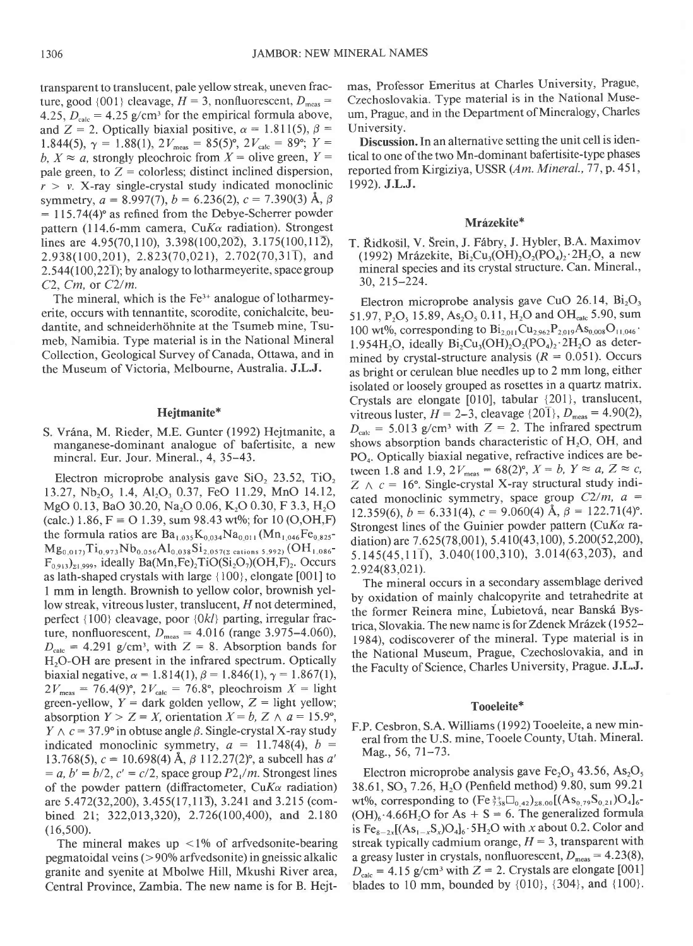transparent to translucent, pale yellow streak, uneven fracture, good {001} cleavage,  $H = 3$ , nonfluorescent,  $D_{\text{meas}} =$ 4.25,  $D_{\text{calc}} = 4.25$  g/cm<sup>3</sup> for the empirical formula above, and Z = 2. Optically biaxial positive,  $\alpha = 1.811(5)$ ,  $\beta =$ 1.844(5),  $\gamma = 1.88(1)$ ,  $2V_{\text{meas}} = 85(5)^\circ$ ,  $2V_{\text{calc}} = 89^\circ$ ;  $Y =$ b,  $X \approx a$ , strongly pleochroic from  $X =$  olive green,  $Y =$ pale green, to  $Z =$  colorless; distinct inclined dispersion,  $r > v$ . X-ray single-crystal study indicated monoclinic symmetry,  $a = 8.997(7)$ ,  $b = 6.236(2)$ ,  $c = 7.390(3)$  Å,  $\beta$  $= 115.74(4)$ ° as refined from the Debye-Scherrer powder pattern (114.6-mm camera, CuK $\alpha$  radiation). Strongest lines are  $4.95(70,110)$ ,  $3.398(100,20\overline{2})$ ,  $3.175(100,11\overline{2})$ ,  $2.938(100,201)$ ,  $2.823(70,021)$ ,  $2.702(70,31)$ , and  $2.544(100,22\overline{1})$ ; by analogy to lotharmeyerite, space group C2, Cm, or C2/m.

The mineral, which is the  $Fe<sup>3+</sup>$  analogue of lotharmeyerite, occurs with tennantite, scorodite, conichalcite, beudantite, and schneiderhohnite at the Tsumeb mine, Tsumeb, Namibia. Type material is in the National Mineral Collection, Geological Survey of Canada, Ottawa, and in the Museum of Victoria. Melbourne, Australia. J.L.J.

# Hejtmanite\*

S. Vrána, M. Rieder, M.E. Gunter (1992) Hejtmanite, a manganese-dominant analogue of bafertisite, a new mineral. Eur. Jour. Mineral., 4, 35-43.

Electron microprobe analysis gave SiO, 23.52, TiO, 13.27, Nb<sub>2</sub>O<sub>5</sub> 1.4, Al<sub>2</sub>O<sub>3</sub> 0.37, FeO 11.29, MnO 14.12, MgO 0.13, BaO 30.20, Na,O 0.06, K,O 0.30, F 3.3, H,O (calc.) 1.86,  $F = O$  1.39, sum 98.43 wt%; for 10 (O,OH,F) the formula ratios are  $Ba_{1,035}K_{0,034}Na_{0,011}(Mn_{1,046}Fe_{0.825}$  $Mg_{0.017}Ti_{0.973}Nb_{0.056}Al_{0.038}Si_{2.057(z~cations~5.992)}(OH_{1.086}$  $F_{0.913}$ <sub>21.999</sub>, ideally Ba(Mn,Fe)<sub>2</sub>TiO(Si<sub>2</sub>O<sub>7</sub>)(OH,F)<sub>2</sub>. Occurs as lath-shaped crystals with large { 100}, elongate [001] to I mm in length. Brownish to yellow color, brownish yellow streak, vitreous luster, translucent, H not determined, perfect {100} cleavage, poor {Okl} parting, irregular fracture, nonfluorescent,  $D_{\text{meas}} = 4.016$  (range 3.975–4.060),  $D_{\text{calc}} = 4.291$  g/cm<sup>3</sup>, with Z = 8. Absorption bands for H<sub>2</sub>O-OH are present in the infrared spectrum. Optically biaxial negative,  $\alpha = 1.814(1)$ ,  $\beta = 1.846(1)$ ,  $\gamma = 1.867(1)$ ,  $2V_{\text{meas}} = 76.4(9)$ °,  $2V_{\text{calc}} = 76.8$ °, pleochroism  $X =$  light green-yellow,  $Y =$  dark golden yellow,  $Z =$  light yellow; absorption  $Y > Z = X$ , orientation  $X = b$ ,  $Z \wedge a = 15.9^{\circ}$ ,  $Y \wedge c = 37.9$ ° in obtuse angle  $\beta$ . Single-crystal X-ray study indicated monoclinic symmetry,  $a = 11.748(4)$ ,  $b =$ 13.768(5),  $c = 10.698(4)$  Å,  $\beta$  112.27(2)°, a subcell has a'  $a, b' = b/2, c' = c/2$ , space group  $P2/m$ . Strongest lines of the powder pattern (diffractometer,  $CuK\alpha$  radiation) are 5.472(32,200), 3.455(17,113), 3.241 and 3.215 (combined 2l; 322,013,320), 2.726(100,400), and 2.180  $(16,500).$ 

The mineral makes up  $\langle 1\%$  of arfvedsonite-bearing pegmatoidal veins (>900/o arfvedsonite) in gneissic alkalic granite and syenite at Mbolwe Hill, Mkushi River area, Central Province, Zambia. The new name is for B. Hejtmas, Professor Emeritus at Charles University, Prague, Czechoslovakia. Type material is in the National Museum, Prague, and in the Department of Mineralogy, Charles University.

Discussion. In an alternative setting the unit cell is identical to one of the two Mn-dominant bafertisite-type phases reported from Kirgiziya, USSR (Am. Mineral., 77, p. 451, 1992). J.L.J.

#### Mrázekite\*

T. Ridko5il, V. Srein, J. F6bry, J. Hybler, B.A. Maximov (1992) Mrázekite, Bi<sub>2</sub>Cu<sub>3</sub>(OH)<sub>2</sub>O<sub>2</sub>(PO<sub>4</sub>)<sub>2</sub>·2H<sub>2</sub>O, a new mineral species and its crystal structure. Can. Mineral., 30,215-224.

Electron microprobe analysis gave CuO 26.14,  $Bi<sub>2</sub>O<sub>3</sub>$ 51.97, P<sub>2</sub>O<sub>5</sub> 15.89, As<sub>2</sub>O<sub>5</sub> 0.11, H<sub>2</sub>O and OH<sub>calc</sub> 5.90, sum 100 wt%, corresponding to  $Bi_{2.011}Cu_{2.962}P_{2.019}As_{0.008}O_{11.046}$ . 1.954H<sub>2</sub>O, ideally Bi<sub>2</sub>Cu<sub>3</sub>(OH)<sub>2</sub>O<sub>2</sub>(PO<sub>4</sub>)<sub>2</sub>·2H<sub>2</sub>O as determined by crystal-structure analysis ( $R = 0.051$ ). Occurs as bright or cerulean blue needles up to 2 mm long, either isolated or loosely grouped as rosettes in a quartz matrix. Crystals are elongate [010], tabular {201}, translucent, vitreous luster,  $H = 2-3$ , cleavage  $\{20\bar{1}\}, D_{\text{meas}} = 4.90(2),$  $D_{\text{calc}} = 5.013$  g/cm<sup>3</sup> with Z = 2. The infrared spectrum shows absorption bands characteristic of  $H_2O$ , OH, and PO<sub>4</sub>. Optically biaxial negative, refractive indices are between 1.8 and 1.9,  $2V_{\text{meas}} = 68(2)^{\circ}$ ,  $X = b$ ,  $Y \approx a$ ,  $Z \approx c$ ,  $Z \wedge c = 16^{\circ}$ . Single-crystal X-ray structural study indicated monoclinic symmetry, space group  $C2/m$ ,  $a =$ 12.359(6),  $b = 6.331(4)$ ,  $c = 9.060(4)$  Å,  $\beta = 122.71(4)$ °. Strongest lines of the Guinier powder pattern (CuK $\alpha$  radiation) are 7.625(78,001), 5.410(43,100), 5.200(52,200), 5.145(45,111), 3.040(100,310), 3.014(63,203), and 2.924(83,02r).

The mineral occurs in a secondary assemblage derived by oxidation of mainly chalcopyrite and tetrahedrite at the former Reinera mine, Lubietová, near Banská Bystrica, Slovakia. The new name is for Zdenek Mrázek (1952-1984). codiscoverer of the mineral. Type material is in the National Museum, Prague, Czechoslovakia, and in the Faculty of Science, Charles University, Prague. J.L.J.

## Tooeleite\*

F.P. Cesbron, S.A. Williams (1992) Tooeleite, a new mineral from the U.S. mine, Tooele County, Utah. Mineral-Mag., 56, 7l-73.

Electron microprobe analysis gave  $Fe<sub>2</sub>O<sub>3</sub>$  43.56, As<sub>2</sub>O<sub>5</sub> 38.61, SO<sub>3</sub> 7.26, H<sub>2</sub>O (Penfield method) 9.80, sum 99.21 wt%, corresponding to  $(Fe_{7.58}^{3+}\Box_{0.42})_{28.00}[(As_{0.79}S_{0.21})O_4]_{6}$ - $(OH)_{6}$ . 4.66H<sub>2</sub>O for As + S = 6. The generalized formula is  $Fe_{8-2x}[(As_{1-x}S_x)O_4]_6 \cdot 5H_2O$  with x about 0.2. Color and streak typically cadmium orange,  $H = 3$ , transparent with a greasy luster in crystals, nonfluorescent,  $D_{\text{meas}} = 4.23(8)$ ,  $D_{\text{calc}} = 4.15$  g/cm<sup>3</sup> with Z = 2. Crystals are elongate [001] blades to 10 mm, bounded by  $\{010\}$ ,  $\{304\}$ , and  $\{100\}$ .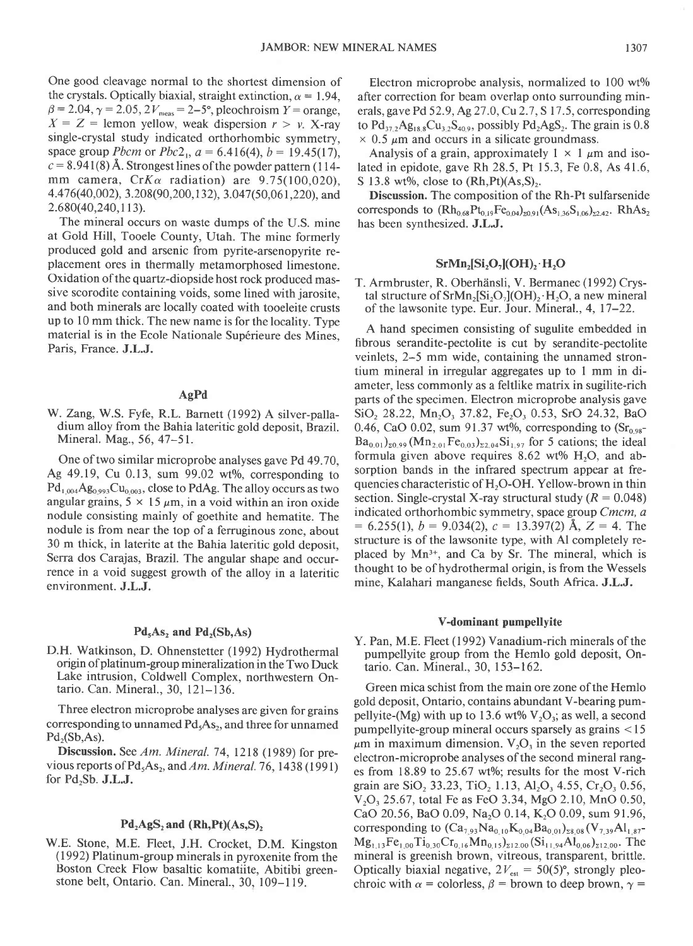One good cleavage normal to the shortest dimension of the crystals. Optically biaxial, straight extinction,  $\alpha = 1.94$ ,  $\beta = 2.04, \gamma = 2.05, 2V_{\text{meas}} = 2-5^{\circ}$ , pleochroism  $Y = \text{orange}$ ,  $X = Z =$  lemon yellow, weak dispersion  $r > v$ . X-ray single-crystal study indicated orthorhombic symmetry, space group *Pbcm* or  $Pbc2_1$ ,  $a = 6.416(4)$ ,  $b = 19.45(17)$ ,  $c = 8.941(8)$  Å. Strongest lines of the powder pattern (114mm camera,  $CrK\alpha$  radiation) are 9.75(100,020). 4.41 6(40,002), 3.208(90,200,1 32), 3.047(50,06 l,220), and 2.680(40,240,113).

The mineral occurs on waste dumps of the U.S. mine at Gold Hill, Tooele County, Utah. The mine formerly produced gold and arsenic from pyrite-arsenopyrite replacement ores in thermally metamorphosed limestone. Oxidation of the quartz-diopside host rock produced massive scorodite containing voids, some lined with jarosite, and both minerals are locally coated with tooeleite crusts up to l0 mm thick. The new name is for the locality. Type material is in the Ecole Nationale Supérieure des Mines, Paris, France. J.L.J.

### AgPd

W. Zang, W.S. Fyfe, R.L. Barnett (1992) A silver-palladium alloy from the Bahia lateritic gold deposit, Brazil. Mineral. Mag., 56, 47-51.

One of two similar microprobe analyses gave Pd 49.70, Ag  $49.19$ , Cu 0.13, sum  $99.02$  wt%, corresponding to  $Pd_{1.004}Ag_{0.993}Cu_{0.003}$ , close to PdAg. The alloy occurs as two angular grains,  $5 \times 15 \mu m$ , in a void within an iron oxide nodule consisting mainly of goethite and hematite. The nodule is from near the top of a femrginous zone, about 30 m thick, in laterite at the Bahia lateritic gold deposit, Serra dos Carajas, Brazil. The angular shape and occurrence in a void suggest growth of the alloy in a lateritic environment. J.L.J.

# $Pd_5As_2$  and  $Pd_2(Sb, As)$

D.H. Watkinson, D. Ohnenstetter (1992) Hydrothermal origin of platinum-group mineralization in the Two Duck Lake intrusion, Coldwell Complex, northwestern Ontario. Can. Mineral., 30, 12l-136.

Three electron microprobe analyses are given for grains corresponding to unnamed  $Pd_5As_2$ , and three for unnamed  $Pd_2(Sb, As)$ .

Discussion. See Am. Mineral. 74, 1218 (1989) for previous reports of  $Pd_5As_2$ , and Am. Mineral. 76, 1438 (1991) for  $Pd_2Sb$ . **J.L.J.** 

# $Pd_2AgS_2$  and  $(Rh,Pt)(As, S)_2$

W.E. Stone, M.E. Fleet, J.H. Crocket, D.M. Kingston (1992) Platinum-group minerals in pyroxenite from the Boston Creek Flow basaltic komatiite, Abitibi greenstone belt, Ontario. Can. Mineral., 30, 109-l19.

Electron microprobe analysis, normalized to  $100 \text{ wt\%}$ after correction for beam overlap onto surrounding minerals, gave Pd 52.9, Ag27 .0,Cu2.7 , S 17.5, corresponding to  $Pd_{37,2}Ag_{18,8}Cu_{3,2}S_{40,9}$ , possibly  $Pd_{2}AgS_{2}$ . The grain is 0.8  $\times$  0.5  $\mu$ m and occurs in a silicate groundmass.

Analysis of a grain, approximately  $1 \times 1 \mu$ m and isolated in epidote, gave Rh 28.5, Pt 15.3, Fe 0.8, As 41.6, S 13.8 wt%, close to  $(Rh, Pt)(As, S)$ .

Discussion. The composition of the Rh-Pt sulfarsenide corresponds to  $(Rh_{0.68}Pt_{0.19}Fe_{0.04})_{20.91}(As_{1.36}S_{1.06})_{22.42}$ . RhAs<sub>2</sub> has been synthesized. J.L.J.

# $SrMn, [Si, O, | (OH), H, O]$

T. Armbruster, R. Oberhänsli, V. Bermanec (1992) Crystal structure of  $SrMn_2[Si_2O_7](OH)_2 \cdot H_2O$ , a new mineral of the lawsonite type. Eur. Jour. Mineral., 4, 17-22.

A hand specimen consisting of sugulite embedded in fibrous serandite-pectolite is cut by serandite-pectolite veinlets, 2-5 mm wide, containing the unnamed strontium mineral in irregular aggregates up to I mm in diameter, less commonly as a feltlike matrix in sugilite-rich parts of the specimen. Electron microprobe analysis gave SiO<sub>2</sub> 28.22, Mn<sub>2</sub>O<sub>3</sub> 37.82, Fe<sub>2</sub>O<sub>3</sub> 0.53, SrO 24.32, BaO 0.46, CaO 0.02, sum 91.37 wt%, corresponding to  $(Sr_{0.98} Ba_{0.01}$ <sub>20.99</sub> (Mn<sub>2.01</sub> Fe<sub>0.03</sub>)<sub>22.04</sub>Si<sub>1.97</sub> for 5 cations; the ideal formula given above requires  $8.62$  wt%  $H<sub>2</sub>O$ , and absorption bands in the infrared spectrum appear at frequencies characteristic of  $H_2O-OH$ . Yellow-brown in thin section. Single-crystal X-ray structural study ( $R = 0.048$ ) indicated orthorhombic symmetry, space group Cmcm, a  $= 6.255(1), b = 9.034(2), c = 13.397(2)$  Å,  $Z = 4$ . The structure is of the lawsonite type, with Al completely replaced by Mn<sup>3+</sup>, and Ca by Sr. The mineral, which is thought to be of hydrothermal origin, is from the Wessels mine, Kalahari manganese fields, South Africa. J.L.J.

#### V-dominant pumpellyite

Y. Pan, M.E. Fleet (1992) Vanadium-rich minerals of the pumpellyite group from the Hemlo gold deposit, Ontario. Can. Mineral., 30,153-162.

Green mica schist from the main ore zone of the Hemlo gold deposit, Ontario, contains abundant V-bearing pumpellyite-(Mg) with up to 13.6 wt%  $V_2O_3$ ; as well, a second pumpellyite-group mineral occurs sparsely as grains < 15  $\mu$ m in maximum dimension. V<sub>2</sub>O<sub>3</sub> in the seven reported electron-microprobe analyses of the second mineral ranges from  $18.89$  to  $25.67$  wt%; results for the most V-rich grain are SiO<sub>2</sub> 33.23, TiO<sub>2</sub> 1.13, Al<sub>2</sub>O<sub>3</sub> 4.55, Cr<sub>2</sub>O<sub>3</sub> 0.56, V<sub>2</sub>O<sub>3</sub> 25.67, total Fe as FeO 3.34, MgO 2.10, MnO 0.50, CaO 20.56, BaO 0.09, Na<sub>2</sub>O 0.14, K<sub>2</sub>O 0.09, sum 91.96, corresponding to  $(Ca_{7,93}Na_{0,10}K_{0,04}Ba_{0,01})_{28,08}(V_{7,39}Al_{1,87}$ - $Mg_{1,13}Fe_{1,00}Ti_{0,30}Cr_{0,16}Mn_{0,15})_{212,00} (Si_{11,94}Al_{0,06})_{212,00}$ . The mineral is greenish brown, vitreous, transparent, brittle. Optically biaxial negative,  $2V_{est} = 50(5)$ °, strongly pleochroic with  $\alpha$  = colorless,  $\beta$  = brown to deep brown,  $\gamma$  =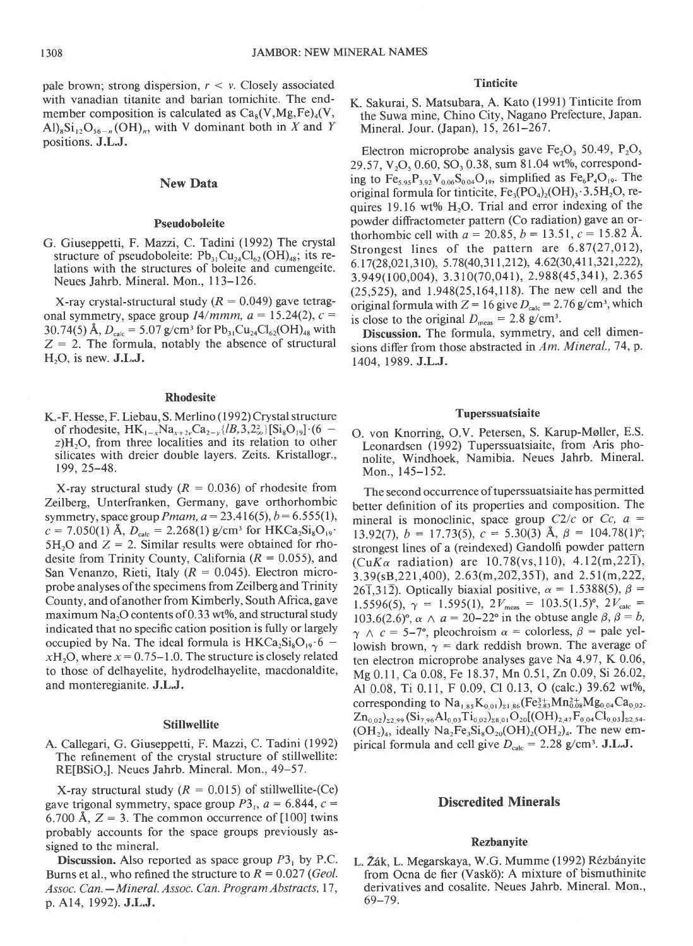pale brown; strong dispersion,  $r < v$ . Closely associated with vanadian titanite and barian tomichite. The endmember composition is calculated as  $Ca<sub>s</sub>(V, Mg, Fe)<sub>4</sub>(V,$  $\text{Al}_8\text{Si}_{12}\text{O}_{56-n}(\text{OH})_n$ , with V dominant both in X and Y positions. J.L.J.

# New Data

#### Pseudoboleite

G. Giuseppetti, F. Mazzi, C. Tadini (1992) The crystal structure of pseudoboleite:  $Pb_{31}Cu_{24}Cl_{62}(OH)_{48}$ ; its relations with the structures of boleite and cumengeite. Neues Jahrb. Mineral. Mon., I 13-126.

X-ray crystal-structural study ( $R = 0.049$ ) gave tetragonal symmetry, space group  $I4/mmm$ ,  $a = 15.24(2)$ ,  $c =$ 30.74(5) Å,  $D_{\text{calc}} = 5.07 \text{ g/cm}^3$  for  $\text{Pb}_{31}\text{Cu}_{24}\text{Cl}_{62}(\text{OH})_{48}$  with  $Z = 2$ . The formula, notably the absence of structural  $H<sub>2</sub>O$ , is new.  $J.L.J.$ 

## Rhodesite

K.-F. Hesse, F. Liebau, S. Merlino (1992) Crystal structure of rhodesite,  $HK_{1-x}Na_{x+2y}Ca_{2-y}\{B,3,2^2\}\{Si_8O_{19}\}\cdot (6$   $z$ )H<sub>2</sub>O, from three localities and its relation to other silicates with dreier double layers. Zeits. Kristallogr., t99.25-48.

X-ray structural study ( $R = 0.036$ ) of rhodesite from Zellberg, Unterfranken, Germany, gave orthorhombic symmetry, space group *Pmam, a* = 23.416(5), *b* = 6.555(1),  $c = 7.050(1)$  Å,  $D_{\text{calc}} = 2.268(1)$  g/cm<sup>3</sup> for HKCa<sub>2</sub>Si<sub>8</sub>O<sub>19</sub>. 5H<sub>2</sub>O and  $Z = 2$ . Similar results were obtained for rhodesite from Trinity County, California ( $R = 0.055$ ), and San Venanzo, Rieti, Italy ( $R = 0.045$ ). Electron microprobe analyses ofthe specimens from Zeilberg and Trinity County, and ofanother from Kimberly, South Africa, gave maximum Na<sub>2</sub>O contents of 0.33 wt%, and structural study indicated that no specific cation position is fully or largely occupied by Na. The ideal formula is  $HKCa<sub>2</sub>Si<sub>8</sub>O<sub>19</sub>·6$   $xH<sub>2</sub>O$ , where  $x = 0.75-1.0$ . The structure is closely related to those of delhayelite, hydrodelhayelite, macdonaldite, and monteregianite. J.L.J.

#### **Stillwellite**

A. Callegari, G. Giuseppetti,F.Mazzi, C. Tadini (1992) The refinement of the crystal structure of stillwellite: RE[BSiO<sub>5</sub>]. Neues Jahrb. Mineral. Mon., 49-57.

X-ray structural study ( $R = 0.015$ ) of stillwellite-(Ce) gave trigonal symmetry, space group  $P3<sub>1</sub>$ ,  $a = 6.844$ ,  $c =$ 6.700 Å,  $Z = 3$ . The common occurrence of [100] twins probably accounts for the space groups previously assigned to the mineral.

**Discussion.** Also reported as space group  $P3<sub>1</sub>$  by P.C. Burns et al., who refined the structure to  $R=0.027$  (Geol.) Assoc. Can. - Mineral. Assoc. Can. Program Abstracts, 17, p. Al4, 1992). J.L.J.

# **Tinticite**

K. Sakurai, S. Matsubara, A. Kato (1991) Tinticite from the Suwa mine, Chino City, Nagano Prefecture, Japan. Mineral. Jour. (Japan), 15, 261-267.

Electron microprobe analysis gave  $Fe<sub>2</sub>O<sub>3</sub>$  50.49,  $P<sub>2</sub>O<sub>5</sub>$ 29.57,  $V<sub>2</sub>O<sub>5</sub>0.60$ , SO<sub>3</sub> 0.38, sum 81.04 wt%, corresponding to  $Fe_{5.95}P_{3.92}V_{0.06}S_{0.04}O_{19}$ , simplified as  $Fe_6P_4O_{19}$ . The original formula for tinticite,  $Fe_3(PO_4)_2(OH)_3 \cdot 3.5H_2O$ , requires 19.16 wt%  $H<sub>2</sub>O$ . Trial and error indexing of the powder diffractometer pattern (Co radiation) gave an orthorhombic cell with  $a = 20.85$ ,  $b = 13.51$ ,  $c = 15.82$  Å. Strongest lines of the pattern are  $6.87(27,012)$ , 6. 17 (28,021,310), 5. 78 (40,311,212), 4.62 (30,411,321,222), 3.949(100,004), 3.310(70,041), 2.988(45,34r), 2.365 (25,525), and 1.948(25,164,118). The new cell and the original formula with  $Z = 16$  give  $D_{\text{calc}} = 2.76$  g/cm<sup>3</sup>, which is close to the original  $D_{\text{meas}} = 2.8 \text{ g/cm}^3$ .

Discussion. The formula, symmetry, and cell dimensions differ from those abstracted in Am. Mineral., 74, p. 1404, 1989. J.L.J.

### Tuperssuatsiaite

O. von Knorring, O.V. Petersen, S. Karup-Moller, E.S. Leonardsen (1992) Tuperssuatsiaite, from Aris phonolite, Windhoek, Namibia. Neues Jahrb. Mineral. Mon., 145-152.

The second occurrence of tuperssuatsiaite has permitted better definition of its properties and composition. The mineral is monoclinic, space group  $C2/c$  or  $Cc$ ,  $a =$ 13.92(7),  $b = 17.73(5)$ ,  $c = 5.30(3)$  Å,  $\beta = 104.78(1)$ °; strongest lines of a (reindexed) Gandolfi powder pattern (CuK $\alpha$  radiation) are 10.78(vs, 110), 4.12(m, 221),  $3.39$ (sB,221,400),  $2.63$ (m,20 $\overline{2}$ ,351), and  $2.51$ (m,22 $\overline{2}$ , 26 $\overline{1,312}$ ). Optically biaxial positive,  $\alpha = 1.5388(5)$ ,  $\beta =$ 1.5596(5),  $\gamma = 1.595(1), 2V_{\text{meas}} = 103.5(1.5)^{\circ}, 2V_{\text{calc}} =$ 103.6(2.6)°,  $\alpha \wedge a = 20-22$ ° in the obtuse angle  $\beta$ ,  $\beta = b$ ,  $\gamma \wedge c = 5-7^{\circ}$ , pleochroism  $\alpha$  = colorless,  $\beta$  = pale yellowish brown,  $\gamma$  = dark reddish brown. The average of ten electron microprobe analyses gave Na 4.97, K 0.06, Mg 0.11, Ca 0.08, Fe 18.37, Mn 0.51, Zn 0.09, Si 26.02, Al 0.08, Ti 0.11, F 0.09, Cl 0.13, O (calc.) 39.62 wt%, corresponding to  $Na_{1.85}K_{0.01}$ <sub>21.86</sub> (Fe<sub>2.83</sub>Mn<sub>0.08</sub>Mg<sub>0.04</sub>Ca<sub>0.02</sub>.  $Zn_{0.02}$ <sub>2.99</sub> (Si<sub>7.96</sub>Al<sub>0.03</sub>Ti<sub>0.02</sub>)<sub>28.01</sub>O<sub>20</sub> [(OH)<sub>2.47</sub>F<sub>0.04</sub>Cl<sub>0.03</sub>]<sub>22.54</sub>.  $(OH<sub>2</sub>)<sub>4</sub>$ , ideally Na<sub>2</sub>Fe<sub>3</sub>Si<sub>8</sub>O<sub>20</sub> $(OH)<sub>2</sub>(OH)<sub>2</sub>$ . The new empirical formula and cell give  $D_{\text{calc}} = 2.28 \text{ g/cm}^3$ . J.L.J.

## Discredited Minerals

#### Rezbanyite

L. Žák, L. Megarskaya, W.G. Mumme (1992) Rézbányite from Ocna de fier (Vaskö): A mixture of bismuthinite derivatives and cosalite. Neues Jahrb. Mineral. Mon., 69-79.